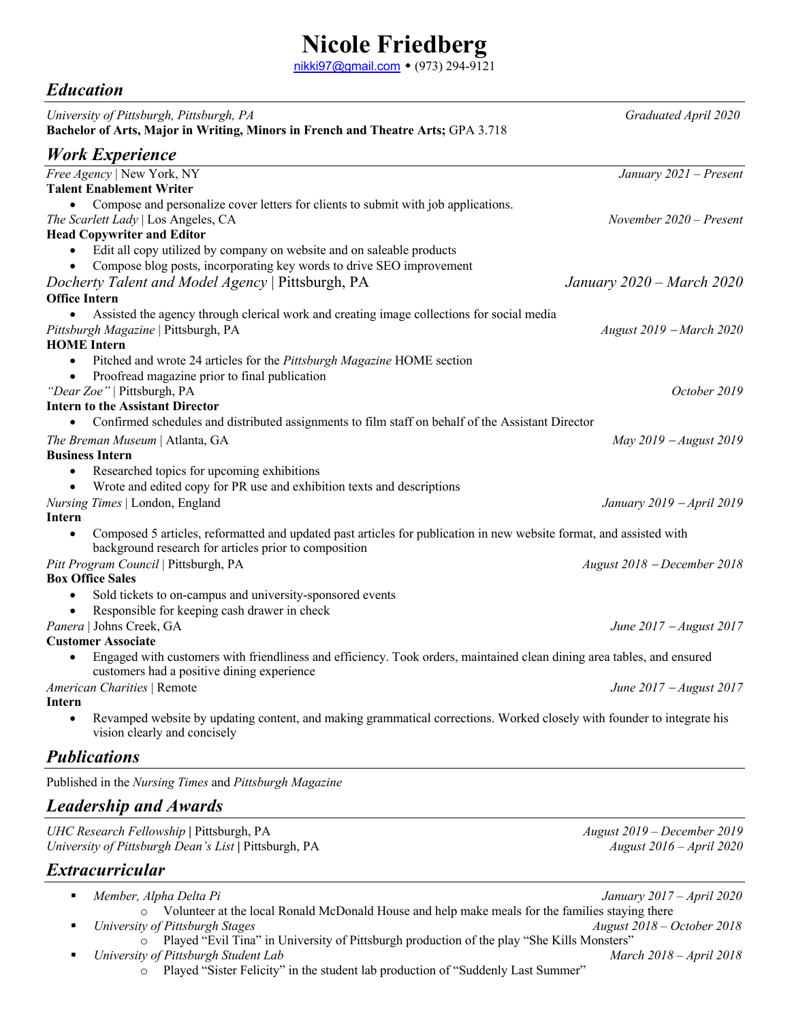## **Nicole Friedberg**

nikki97@gmail.com • (973) 294-9121

## *Education*

| University of Pittsburgh, Pittsburgh, PA<br>Bachelor of Arts, Major in Writing, Minors in French and Theatre Arts; GPA 3.718                                                              | Graduated April 2020        |
|-------------------------------------------------------------------------------------------------------------------------------------------------------------------------------------------|-----------------------------|
| <b>Work Experience</b>                                                                                                                                                                    |                             |
| Free Agency   New York, NY<br><b>Talent Enablement Writer</b>                                                                                                                             | January 2021 - Present      |
| Compose and personalize cover letters for clients to submit with job applications.<br>The Scarlett Lady   Los Angeles, CA                                                                 | November $2020$ – Present   |
| <b>Head Copywriter and Editor</b>                                                                                                                                                         |                             |
| Edit all copy utilized by company on website and on saleable products<br>Compose blog posts, incorporating key words to drive SEO improvement                                             |                             |
| Docherty Talent and Model Agency   Pittsburgh, PA                                                                                                                                         | January 2020 – March 2020   |
| <b>Office Intern</b>                                                                                                                                                                      |                             |
| Assisted the agency through clerical work and creating image collections for social media                                                                                                 |                             |
| Pittsburgh Magazine   Pittsburgh, PA                                                                                                                                                      | August 2019 – March 2020    |
| <b>HOME</b> Intern                                                                                                                                                                        |                             |
| Pitched and wrote 24 articles for the Pittsburgh Magazine HOME section                                                                                                                    |                             |
| Proofread magazine prior to final publication                                                                                                                                             |                             |
| "Dear Zoe"   Pittsburgh, PA                                                                                                                                                               | October 2019                |
| <b>Intern to the Assistant Director</b>                                                                                                                                                   |                             |
| Confirmed schedules and distributed assignments to film staff on behalf of the Assistant Director                                                                                         |                             |
| The Breman Museum   Atlanta, GA<br><b>Business Intern</b>                                                                                                                                 | May $2019 - August 2019$    |
| Researched topics for upcoming exhibitions<br>$\bullet$                                                                                                                                   |                             |
| Wrote and edited copy for PR use and exhibition texts and descriptions                                                                                                                    |                             |
| Nursing Times   London, England                                                                                                                                                           | January 2019 - April 2019   |
| Intern                                                                                                                                                                                    |                             |
| Composed 5 articles, reformatted and updated past articles for publication in new website format, and assisted with<br>$\bullet$<br>background research for articles prior to composition |                             |
| Pitt Program Council   Pittsburgh, PA                                                                                                                                                     | August 2018 - December 2018 |
| <b>Box Office Sales</b>                                                                                                                                                                   |                             |
| Sold tickets to on-campus and university-sponsored events<br>$\bullet$                                                                                                                    |                             |
| Responsible for keeping cash drawer in check                                                                                                                                              |                             |
| Panera   Johns Creek, GA                                                                                                                                                                  | June 2017 - August 2017     |
| <b>Customer Associate</b>                                                                                                                                                                 |                             |
| Engaged with customers with friendliness and efficiency. Took orders, maintained clean dining area tables, and ensured<br>$\bullet$<br>customers had a positive dining experience         |                             |
| American Charities   Remote                                                                                                                                                               | June 2017 - August 2017     |
| Intern                                                                                                                                                                                    |                             |
| Revamped website by updating content, and making grammatical corrections. Worked closely with founder to integrate his<br>vision clearly and concisely                                    |                             |
| <b>Publications</b>                                                                                                                                                                       |                             |
| Published in the Nursing Times and Pittsburgh Magazine                                                                                                                                    |                             |
| <b>Leadership and Awards</b>                                                                                                                                                              |                             |
| UHC Research Fellowship   Pittsburgh, PA                                                                                                                                                  | August 2019 – December 2019 |
| University of Pittsburgh Dean's List   Pittsburgh, PA                                                                                                                                     | August 2016 - April 2020    |

## *Extracurricular*

- § *Member, Alpha Delta Pi January 2017 – April 2020*
- o Volunteer at the local Ronald McDonald House and help make meals for the families staying there § *University of Pittsburgh Stages August 2018 – October 2018*
	- o Played "Evil Tina" in University of Pittsburgh production of the play "She Kills Monsters"
- *University of Pittsburgh Student Lab* March 2018 *April 2018 March 2018 April 2018* 
	- o Played "Sister Felicity" in the student lab production of "Suddenly Last Summer"